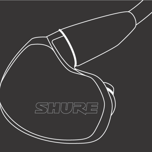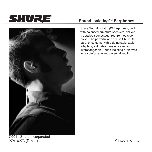



## **Sound Isolating™ Earphones**

Shure Sound Isolating™ Earphones, built with balanced armature speakers, deliver a detailed soundstage free from outside noise. The powerful and stylish Shure SE earphones come with a detachable cable, adapters, a durable carrying case, and interchangeable Sound Isolating™ sleeves for a comfortable and personalized fit.

©2011 Shure Incorporated 27A16273 (Rev. 1) 27A16273 (Rev. 1)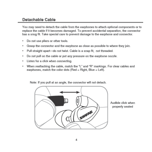#### Detachable Cable

You may need to detach the cable from the earphones to attach optional components or to replace the cable if it becomes damaged. To prevent accidental separation, the connector has a snug fit. Take special care to prevent damage to the earphone and connector.

- Do not use pliers or other tools. ٠
- Grasp the connector and the earphone as close as possible to where they loin.
- Pull straight apart-do not twist. Cable is a snap fit, not threaded.
- Do not pull on the cable or put any pressure on the earphone nozzle.
- Listen for a click when connecting.
- When reattaching the cable, match the "L" and "R" markings. For clear cables and earphones, match the color dots (Red = Right, Blue = Left).



Note: If you pull at an angle, the connector will not detach.

Audible click when properly seated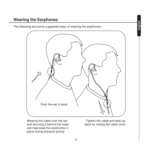The following are some suggested ways of wearing the earphones.



Wearing the cable over the ear and securing it behind the head can help keep the earphones in place during physical activity

Tighten the cable and take up slack by raising the cable cinch.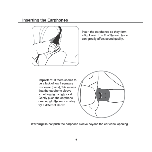#### **Inserting the Earphones**



Insert the earphones so they form a tight seal. The fit of the earphone can greatly affect sound quality.

Important: If there seems to be a lack of low frequency response (bass), this means that the earphone sleeve is not forming a tight seal. Gently push the earphone deeper into the ear canal or try a different sleeve.



Warning:Do not push the earphone sleeve beyond the ear canal opening.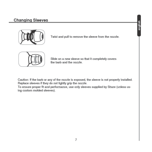# **Changing Sleeves**



Twist and pull to remove the sleeve from the nozzle.



Slide on a new sleeve so that it completely covers the barb and the nozzle.

Caution: If the barb or any of the nozzle is exposed, the sleeve is not properly installed. Replace sleeves if they do not tightly grip the nozzle.

To ensure proper fit and performance, use only sleeves supplied by Shure (unless using custom molded sleeves).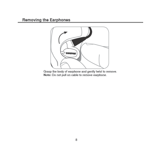# **Removing the Earphones**



Grasp the body of earphone and gently twist to remove.<br>Note: Do not pull on cable to remove earphone.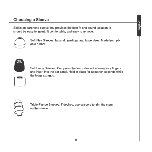# Choosing a Sleeve

Select an earphone sleeve that provides the best fit and sound isolation. It should be easy to insert, fit comfortably, and easy to remove.



Soft Flex Sleeves: In small, medium, and large sizes. Made from pliable rubber.



Soft Foam Sleeves: Compress the foam sleeve between your fingers and insert into the ear canal. Hold in place for about ten seconds while the foam expands.





Triple-Flange Sleeves: If desired, use scissors to trim the stem on the sleeve.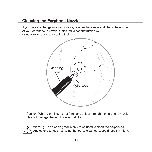#### **Cleaning the Earphone Nozzle**

If you notice a change in sound quality, remove the sleeve and check the nozzle of your earphone. If nozzle is blocked, clear obstruction by using wire loop end of cleaning tool.



Caution: When cleaning, do not force any object through the earphone nozzle! This will damage the earphone sound filter.



Warning: The cleaning tool is only to be used to clean the earphones. Any other use, such as using the tool to clean ears, could result in injury.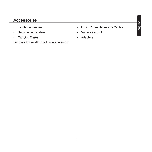## **Accessories**

- • Earphone Sleeves
- • Replacement Cables
- • Carrying Cases

For more information visit www.shure.com

- • Music Phone Accessory Cables
- • Volume Control
- **Adapters**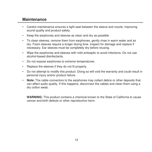#### **Maintenance**

- • Careful maintenance ensures a tight seal between the sleeve and nozzle, improving sound quality and product safety.
- • Keep the earphones and sleeves as clean and dry as possible.
- • To clean sleeves, remove them from earphones, gently rinse in warm water and air dry. Foam sleeves require a longer drying time. Inspect for damage and replace if necessary. Ear sleeves must be completely dry before reusing.
- • Wipe the earphones and sleeves with mild antiseptic to avoid infections. Do not use alcohol-based disinfectants.
- • Do not expose earphones to extreme temperatures.
- • Replace the sleeves if they do not fit properly.
- Do not attempt to modify this product. Doing so will void the warranty and could result in personal injury and/or product failure.
- • **Note:** The cable connectors to the earphones may collect debris or other deposits that can affect audio quality. If this happens, disconnect the cables and clean them using a dry cotton swab.

**WARNING:** This product contains a chemical known to the State of California to cause cancer and birth defects or other reproductive harm.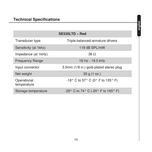|                            | SE535LTD - Red                                        |
|----------------------------|-------------------------------------------------------|
| Transducer type            | Triple balanced-armature drivers                      |
| Sensitivity (at 1khz)      | 119 dB SPL/mW                                         |
| Impedance (at 1kHz)        | 36 <sub>o</sub>                                       |
| <b>Frequency Range</b>     | 18 Hz - 19.5 kHz                                      |
| Input connector            | 3.5mm (1/8 in.) gold-plated stereo plug               |
| Net weight                 | 30q(1 oz.)                                            |
| Operational<br>temperature | -18° C to 57° C (0° F to 135° F)                      |
| Storage temperature        | $-29^{\circ}$ C to 74° C ( $-20^{\circ}$ F to 165° F) |

**english**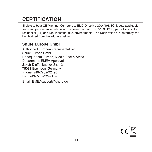# **CERTIFICATION**

Eligible to bear CE Marking. Conforms to EMC Directive 2004/108/EC. Meets applicable tests and performance criteria in European Standard EN55103 (1996) parts 1 and 2, for residential (E1) and light industrial (E2) environments. The Declaration of Conformity can be obtained from the address below.

# **Shure Europe GmbH**

Authorized European representative: Shure Europe GmbH Headquarters Europe, Middle East & Africa Department: EMEA Approval Jakob-Dieffenbacher-Str. 12, 75031 Eppingen, Germany Phone: +49-7262-92490 Fax: +49-7262-9249114 Email: EMEAsupport@shure.de